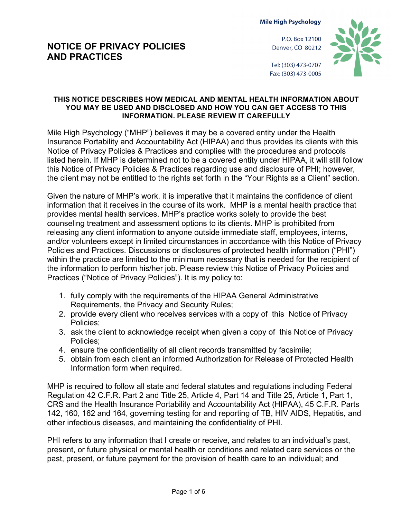**Mile High Psychology** 

# **NOTICE OF PRIVACY POLICIES AND PRACTICES**

P.O. Box 12100 Denver, CO 80212



Tel: (303) 473-0707 Fax: (303) 473-0005

#### **THIS NOTICE DESCRIBES HOW MEDICAL AND MENTAL HEALTH INFORMATION ABOUT YOU MAY BE USED AND DISCLOSED AND HOW YOU CAN GET ACCESS TO THIS INFORMATION. PLEASE REVIEW IT CAREFULLY**

Mile High Psychology ("MHP") believes it may be a covered entity under the Health Insurance Portability and Accountability Act (HIPAA) and thus provides its clients with this Notice of Privacy Policies & Practices and complies with the procedures and protocols listed herein. If MHP is determined not to be a covered entity under HIPAA, it will still follow this Notice of Privacy Policies & Practices regarding use and disclosure of PHI; however, the client may not be entitled to the rights set forth in the "Your Rights as a Client" section.

Given the nature of MHP's work, it is imperative that it maintains the confidence of client information that it receives in the course of its work. MHP is a mental health practice that provides mental health services. MHP's practice works solely to provide the best counseling treatment and assessment options to its clients. MHP is prohibited from releasing any client information to anyone outside immediate staff, employees, interns, and/or volunteers except in limited circumstances in accordance with this Notice of Privacy Policies and Practices. Discussions or disclosures of protected health information ("PHI") within the practice are limited to the minimum necessary that is needed for the recipient of the information to perform his/her job. Please review this Notice of Privacy Policies and Practices ("Notice of Privacy Policies"). It is my policy to:

- 1. fully comply with the requirements of the HIPAA General Administrative Requirements, the Privacy and Security Rules;
- 2. provide every client who receives services with a copy of this Notice of Privacy Policies;
- 3. ask the client to acknowledge receipt when given a copy of this Notice of Privacy Policies;
- 4. ensure the confidentiality of all client records transmitted by facsimile;
- 5. obtain from each client an informed Authorization for Release of Protected Health Information form when required.

MHP is required to follow all state and federal statutes and regulations including Federal Regulation 42 C.F.R. Part 2 and Title 25, Article 4, Part 14 and Title 25, Article 1, Part 1, CRS and the Health Insurance Portability and Accountability Act (HIPAA), 45 C.F.R. Parts 142, 160, 162 and 164, governing testing for and reporting of TB, HIV AIDS, Hepatitis, and other infectious diseases, and maintaining the confidentiality of PHI.

PHI refers to any information that I create or receive, and relates to an individual's past, present, or future physical or mental health or conditions and related care services or the past, present, or future payment for the provision of health care to an individual; and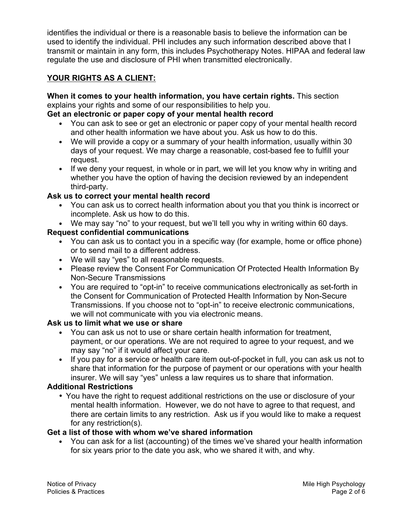identifies the individual or there is a reasonable basis to believe the information can be used to identify the individual. PHI includes any such information described above that I transmit or maintain in any form, this includes Psychotherapy Notes. HIPAA and federal law regulate the use and disclosure of PHI when transmitted electronically.

# **YOUR RIGHTS AS A CLIENT:**

# **When it comes to your health information, you have certain rights.** This section explains your rights and some of our responsibilities to help you.

#### **Get an electronic or paper copy of your mental health record**

- You can ask to see or get an electronic or paper copy of your mental health record and other health information we have about you. Ask us how to do this.
- We will provide a copy or a summary of your health information, usually within 30 days of your request. We may charge a reasonable, cost-based fee to fulfill your request.
- If we deny your request, in whole or in part, we will let you know why in writing and whether you have the option of having the decision reviewed by an independent third-party.

### **Ask us to correct your mental health record**

- You can ask us to correct health information about you that you think is incorrect or incomplete. Ask us how to do this.
- We may say "no" to your request, but we'll tell you why in writing within 60 days.

### **Request confidential communications**

- You can ask us to contact you in a specific way (for example, home or office phone) or to send mail to a different address.
- We will say "yes" to all reasonable requests.
- Please review the Consent For Communication Of Protected Health Information By Non-Secure Transmissions
- You are required to "opt-in" to receive communications electronically as set-forth in the Consent for Communication of Protected Health Information by Non-Secure Transmissions. If you choose not to "opt-in" to receive electronic communications, we will not communicate with you via electronic means.

### **Ask us to limit what we use or share**

- You can ask us not to use or share certain health information for treatment, payment, or our operations. We are not required to agree to your request, and we may say "no" if it would affect your care.
- If you pay for a service or health care item out-of-pocket in full, you can ask us not to share that information for the purpose of payment or our operations with your health insurer. We will say "yes" unless a law requires us to share that information.

# **Additional Restrictions**

• You have the right to request additional restrictions on the use or disclosure of your mental health information. However, we do not have to agree to that request, and there are certain limits to any restriction. Ask us if you would like to make a request for any restriction(s).

### **Get a list of those with whom we've shared information**

• You can ask for a list (accounting) of the times we've shared your health information for six years prior to the date you ask, who we shared it with, and why.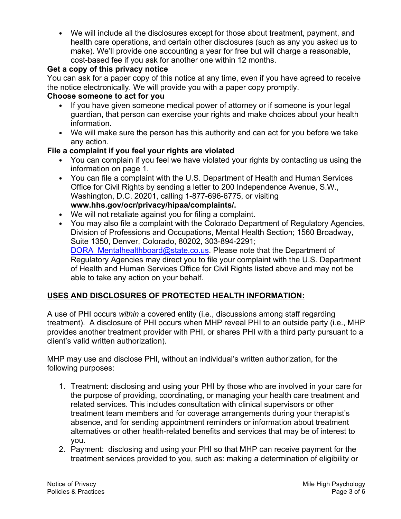• We will include all the disclosures except for those about treatment, payment, and health care operations, and certain other disclosures (such as any you asked us to make). We'll provide one accounting a year for free but will charge a reasonable, cost-based fee if you ask for another one within 12 months.

# **Get a copy of this privacy notice**

You can ask for a paper copy of this notice at any time, even if you have agreed to receive the notice electronically. We will provide you with a paper copy promptly.

## **Choose someone to act for you**

- If you have given someone medical power of attorney or if someone is your legal guardian, that person can exercise your rights and make choices about your health information.
- We will make sure the person has this authority and can act for you before we take any action.

### **File a complaint if you feel your rights are violated**

- You can complain if you feel we have violated your rights by contacting us using the information on page 1.
- You can file a complaint with the U.S. Department of Health and Human Services Office for Civil Rights by sending a letter to 200 Independence Avenue, S.W., Washington, D.C. 20201, calling 1-877-696-6775, or visiting **www.hhs.gov/ocr/privacy/hipaa/complaints/.**
- We will not retaliate against you for filing a complaint.
- You may also file a complaint with the Colorado Department of Regulatory Agencies, Division of Professions and Occupations, Mental Health Section; 1560 Broadway, Suite 1350, Denver, Colorado, 80202, 303-894-2291; DORA Mentalhealthboard@state.co.us. Please note that the Department of Regulatory Agencies may direct you to file your complaint with the U.S. Department of Health and Human Services Office for Civil Rights listed above and may not be able to take any action on your behalf.

# **USES AND DISCLOSURES OF PROTECTED HEALTH INFORMATION:**

A use of PHI occurs *within* a covered entity (i.e., discussions among staff regarding treatment). A disclosure of PHI occurs when MHP reveal PHI to an outside party (i.e., MHP provides another treatment provider with PHI, or shares PHI with a third party pursuant to a client's valid written authorization).

MHP may use and disclose PHI, without an individual's written authorization, for the following purposes:

- 1. Treatment: disclosing and using your PHI by those who are involved in your care for the purpose of providing, coordinating, or managing your health care treatment and related services. This includes consultation with clinical supervisors or other treatment team members and for coverage arrangements during your therapist's absence, and for sending appointment reminders or information about treatment alternatives or other health-related benefits and services that may be of interest to you.
- 2. Payment: disclosing and using your PHI so that MHP can receive payment for the treatment services provided to you, such as: making a determination of eligibility or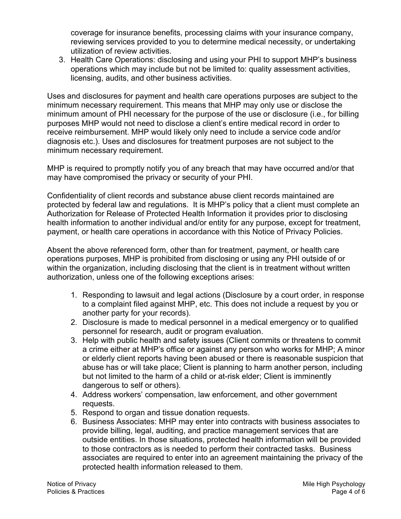coverage for insurance benefits, processing claims with your insurance company, reviewing services provided to you to determine medical necessity, or undertaking utilization of review activities.

3. Health Care Operations: disclosing and using your PHI to support MHP's business operations which may include but not be limited to: quality assessment activities, licensing, audits, and other business activities.

Uses and disclosures for payment and health care operations purposes are subject to the minimum necessary requirement. This means that MHP may only use or disclose the minimum amount of PHI necessary for the purpose of the use or disclosure (i.e., for billing purposes MHP would not need to disclose a client's entire medical record in order to receive reimbursement. MHP would likely only need to include a service code and/or diagnosis etc.). Uses and disclosures for treatment purposes are not subject to the minimum necessary requirement.

MHP is required to promptly notify you of any breach that may have occurred and/or that may have compromised the privacy or security of your PHI.

Confidentiality of client records and substance abuse client records maintained are protected by federal law and regulations. It is MHP's policy that a client must complete an Authorization for Release of Protected Health Information it provides prior to disclosing health information to another individual and/or entity for any purpose, except for treatment, payment, or health care operations in accordance with this Notice of Privacy Policies.

Absent the above referenced form, other than for treatment, payment, or health care operations purposes, MHP is prohibited from disclosing or using any PHI outside of or within the organization, including disclosing that the client is in treatment without written authorization, unless one of the following exceptions arises:

- 1. Responding to lawsuit and legal actions (Disclosure by a court order, in response to a complaint filed against MHP, etc. This does not include a request by you or another party for your records).
- 2. Disclosure is made to medical personnel in a medical emergency or to qualified personnel for research, audit or program evaluation.
- 3. Help with public health and safety issues (Client commits or threatens to commit a crime either at MHP's office or against any person who works for MHP; A minor or elderly client reports having been abused or there is reasonable suspicion that abuse has or will take place; Client is planning to harm another person, including but not limited to the harm of a child or at-risk elder; Client is imminently dangerous to self or others).
- 4. Address workers' compensation, law enforcement, and other government requests.
- 5. Respond to organ and tissue donation requests.
- 6. Business Associates: MHP may enter into contracts with business associates to provide billing, legal, auditing, and practice management services that are outside entities. In those situations, protected health information will be provided to those contractors as is needed to perform their contracted tasks. Business associates are required to enter into an agreement maintaining the privacy of the protected health information released to them.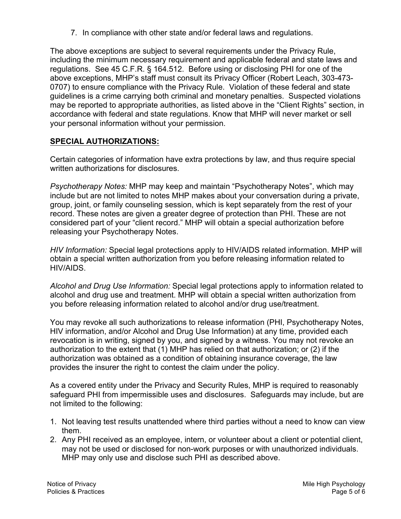7. In compliance with other state and/or federal laws and regulations.

The above exceptions are subject to several requirements under the Privacy Rule, including the minimum necessary requirement and applicable federal and state laws and regulations. See 45 C.F.R. § 164.512. Before using or disclosing PHI for one of the above exceptions, MHP's staff must consult its Privacy Officer (Robert Leach, 303-473- 0707) to ensure compliance with the Privacy Rule. Violation of these federal and state guidelines is a crime carrying both criminal and monetary penalties. Suspected violations may be reported to appropriate authorities, as listed above in the "Client Rights" section, in accordance with federal and state regulations. Know that MHP will never market or sell your personal information without your permission.

### **SPECIAL AUTHORIZATIONS:**

Certain categories of information have extra protections by law, and thus require special written authorizations for disclosures.

*Psychotherapy Notes:* MHP may keep and maintain "Psychotherapy Notes", which may include but are not limited to notes MHP makes about your conversation during a private, group, joint, or family counseling session, which is kept separately from the rest of your record. These notes are given a greater degree of protection than PHI. These are not considered part of your "client record." MHP will obtain a special authorization before releasing your Psychotherapy Notes.

*HIV Information:* Special legal protections apply to HIV/AIDS related information. MHP will obtain a special written authorization from you before releasing information related to HIV/AIDS.

*Alcohol and Drug Use Information:* Special legal protections apply to information related to alcohol and drug use and treatment. MHP will obtain a special written authorization from you before releasing information related to alcohol and/or drug use/treatment.

You may revoke all such authorizations to release information (PHI, Psychotherapy Notes, HIV information, and/or Alcohol and Drug Use Information) at any time, provided each revocation is in writing, signed by you, and signed by a witness. You may not revoke an authorization to the extent that (1) MHP has relied on that authorization; or (2) if the authorization was obtained as a condition of obtaining insurance coverage, the law provides the insurer the right to contest the claim under the policy.

As a covered entity under the Privacy and Security Rules, MHP is required to reasonably safeguard PHI from impermissible uses and disclosures. Safeguards may include, but are not limited to the following:

- 1. Not leaving test results unattended where third parties without a need to know can view them.
- 2. Any PHI received as an employee, intern, or volunteer about a client or potential client, may not be used or disclosed for non-work purposes or with unauthorized individuals. MHP may only use and disclose such PHI as described above.